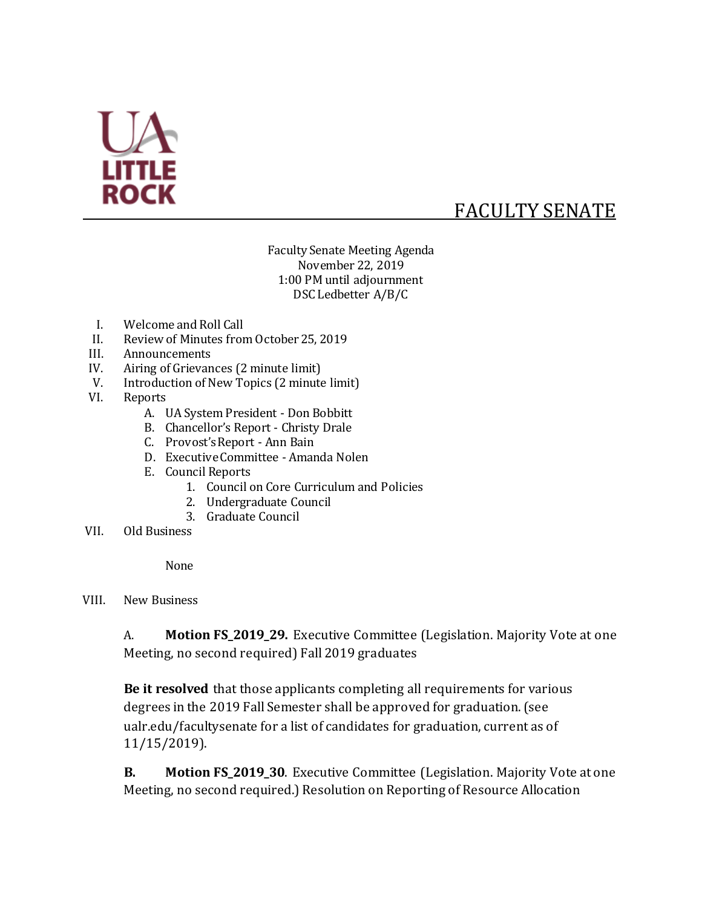

# FACULTY SENATE

Faculty Senate Meeting Agenda November 22, 2019 1:00 PM until adjournment DSC Ledbetter A/B/C

- I. Welcome and Roll Call
- II. Review of Minutes from October 25, 2019
- III. Announcements
- IV. Airing of Grievances (2 minute limit)
- V. Introduction of New Topics (2 minute limit)
- VI. Reports
	- A. UA System President Don Bobbitt
	- B. Chancellor's Report Christy Drale
	- C. Provost's Report Ann Bain
	- D. Executive Committee Amanda Nolen
	- E. Council Reports
		- 1. Council on Core Curriculum and Policies
		- 2. Undergraduate Council
		- 3. Graduate Council
- VII. Old Business

None

VIII. New Business

A. **Motion FS\_2019\_29.** Executive Committee (Legislation. Majority Vote at one Meeting, no second required) Fall 2019 graduates

**Be it resolved** that those applicants completing all requirements for various degrees in the 2019 Fall Semester shall be approved for graduation. (see ualr.edu/facultysenate for a list of candidates for graduation, current as of 11/15/2019).

**B. Motion FS\_2019\_30**. Executive Committee (Legislation. Majority Vote at one Meeting, no second required.) Resolution on Reporting of Resource Allocation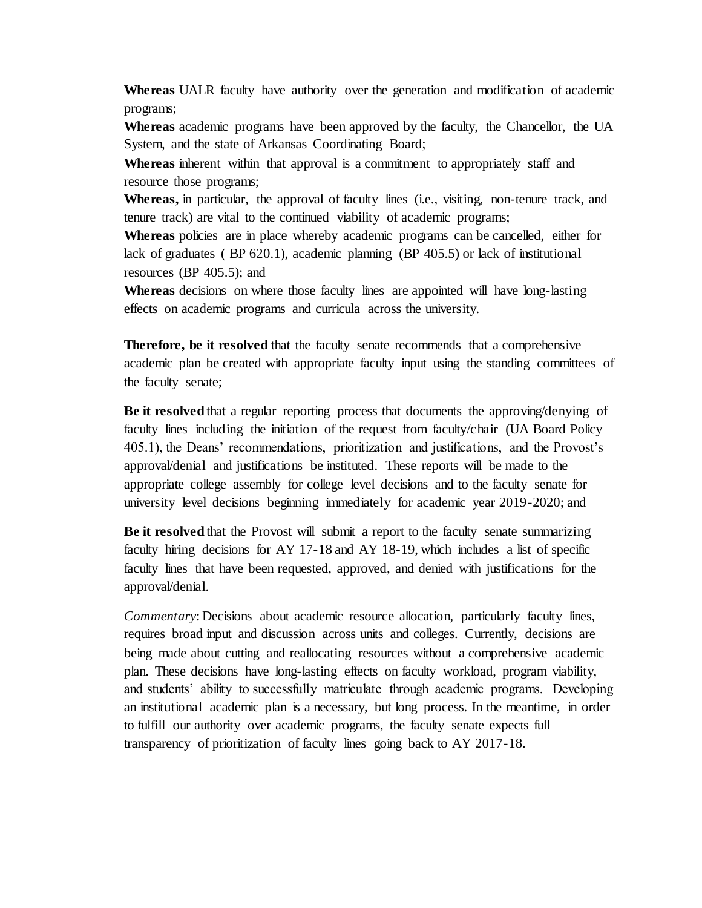**Whereas** UALR faculty have authority over the generation and modification of academic programs;

**Whereas** academic programs have been approved by the faculty, the Chancellor, the UA System, and the state of Arkansas Coordinating Board;

**Whereas** inherent within that approval is a commitment to appropriately staff and resource those programs;

**Whereas,** in particular, the approval of faculty lines (i.e., visiting, non-tenure track, and tenure track) are vital to the continued viability of academic programs;

**Whereas** policies are in place whereby academic programs can be cancelled, either for lack of graduates ( BP 620.1), academic planning (BP 405.5) or lack of institutional resources (BP 405.5); and

**Whereas** decisions on where those faculty lines are appointed will have long-lasting effects on academic programs and curricula across the university.

**Therefore, be it resolved** that the faculty senate recommends that a comprehensive academic plan be created with appropriate faculty input using the standing committees of the faculty senate;

**Be it resolved** that a regular reporting process that documents the approving/denying of faculty lines including the initiation of the request from faculty/chair (UA Board Policy 405.1), the Deans' recommendations, prioritization and justifications, and the Provost's approval/denial and justifications be instituted. These reports will be made to the appropriate college assembly for college level decisions and to the faculty senate for university level decisions beginning immediately for academic year 2019-2020; and

**Be it resolved** that the Provost will submit a report to the faculty senate summarizing faculty hiring decisions for AY 17-18 and AY 18-19, which includes a list of specific faculty lines that have been requested, approved, and denied with justifications for the approval/denial.

*Commentary*: Decisions about academic resource allocation, particularly faculty lines, requires broad input and discussion across units and colleges. Currently, decisions are being made about cutting and reallocating resources without a comprehensive academic plan. These decisions have long-lasting effects on faculty workload, program viability, and students' ability to successfully matriculate through academic programs. Developing an institutional academic plan is a necessary, but long process. In the meantime, in order to fulfill our authority over academic programs, the faculty senate expects full transparency of prioritization of faculty lines going back to AY 2017-18.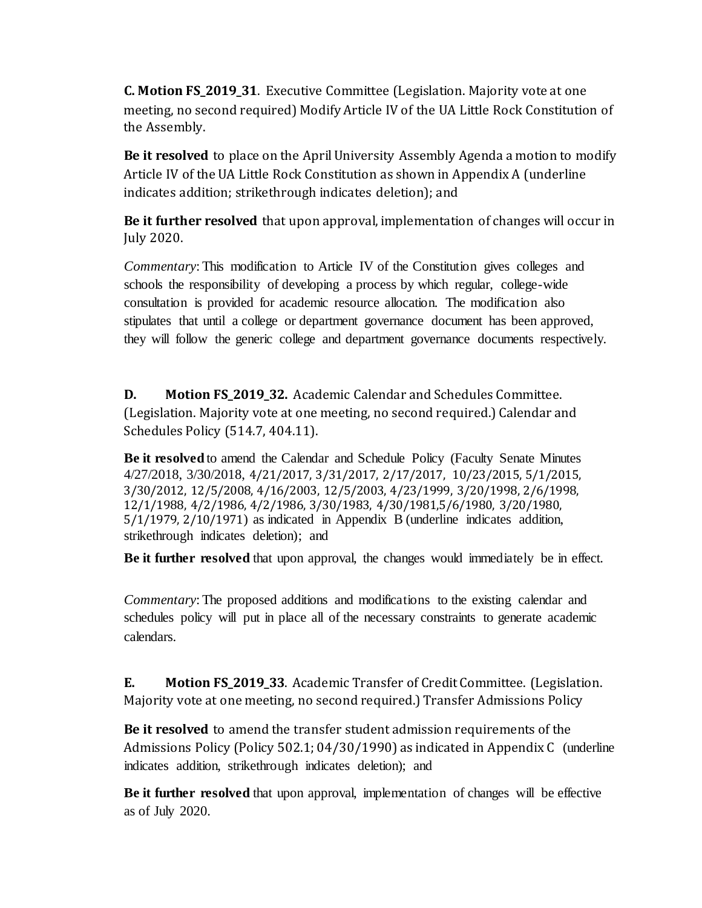**C. Motion FS\_2019\_31**. Executive Committee (Legislation. Majority vote at one meeting, no second required) Modify Article IV of the UA Little Rock Constitution of the Assembly.

**Be it resolved** to place on the April University Assembly Agenda a motion to modify Article IV of the UA Little Rock Constitution as shown in Appendix A (underline indicates addition; strikethrough indicates deletion); and

**Be it further resolved** that upon approval, implementation of changes will occur in July 2020.

*Commentary*: This modification to Article IV of the Constitution gives colleges and schools the responsibility of developing a process by which regular, college-wide consultation is provided for academic resource allocation. The modification also stipulates that until a college or department governance document has been approved, they will follow the generic college and department governance documents respectively.

**D. Motion FS 2019 32.** Academic Calendar and Schedules Committee. (Legislation. Majority vote at one meeting, no second required.) Calendar and Schedules Policy (514.7, 404.11).

**Be it resolved** to amend the Calendar and Schedule Policy (Faculty Senate Minutes 4/27/2018, 3/30/2018, 4/21/2017, 3/31/2017, 2/17/2017, 10/23/2015, 5/1/2015, 3/30/2012, 12/5/2008, 4/16/2003, 12/5/2003, 4/23/1999, 3/20/1998, 2/6/1998, 12/1/1988, 4/2/1986, 4/2/1986, 3/30/1983, 4/30/1981,5/6/1980, 3/20/1980, 5/1/1979, 2/10/1971) as indicated in Appendix B (underline indicates addition, strikethrough indicates deletion); and

**Be it further resolved** that upon approval, the changes would immediately be in effect.

*Commentary*: The proposed additions and modifications to the existing calendar and schedules policy will put in place all of the necessary constraints to generate academic calendars.

**E. Motion FS\_2019\_33**. Academic Transfer of Credit Committee. (Legislation. Majority vote at one meeting, no second required.) Transfer Admissions Policy

**Be it resolved** to amend the transfer student admission requirements of the Admissions Policy (Policy 502.1; 04/30/1990) as indicated in Appendix C (underline indicates addition, strikethrough indicates deletion); and

**Be it further resolved** that upon approval, implementation of changes will be effective as of July 2020.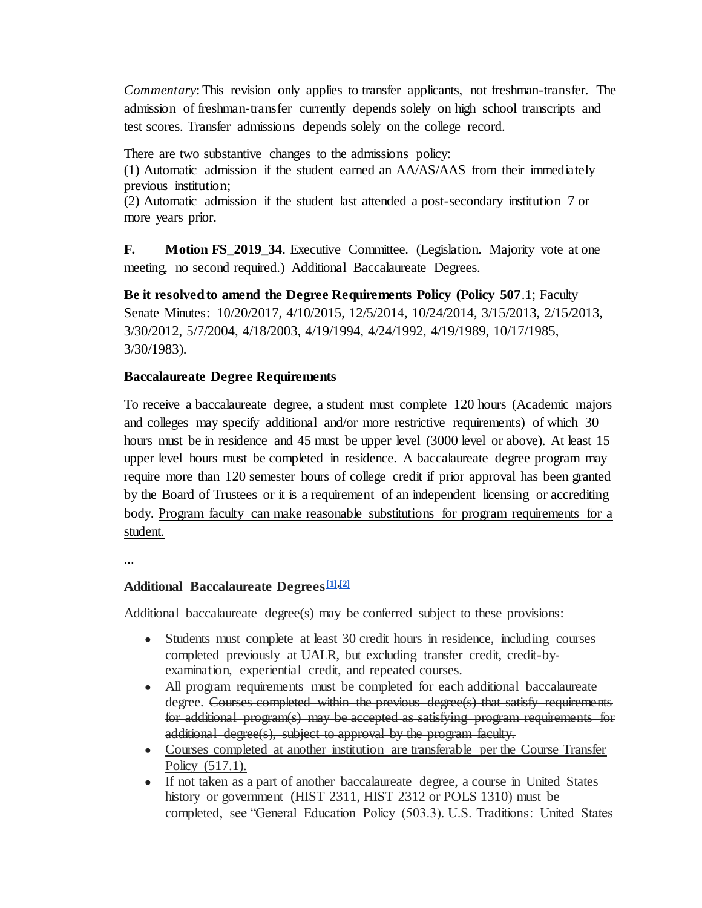*Commentary*: This revision only applies to transfer applicants, not freshman-transfer. The admission of freshman-transfer currently depends solely on high school transcripts and test scores. Transfer admissions depends solely on the college record.

There are two substantive changes to the admissions policy:

(1) Automatic admission if the student earned an AA/AS/AAS from their immediately previous institution;

(2) Automatic admission if the student last attended a post-secondary institution 7 or more years prior.

**F.** Motion FS\_2019\_34. Executive Committee. (Legislation. Majority vote at one meeting, no second required.) Additional Baccalaureate Degrees.

**Be it resolved to amend the Degree Requirements Policy (Policy 507**.1; Faculty Senate Minutes: 10/20/2017, 4/10/2015, 12/5/2014, 10/24/2014, 3/15/2013, 2/15/2013, 3/30/2012, 5/7/2004, 4/18/2003, 4/19/1994, 4/24/1992, 4/19/1989, 10/17/1985, 3/30/1983).

## **Baccalaureate Degree Requirements**

To receive a baccalaureate degree, a student must complete 120 hours (Academic majors and colleges may specify additional and/or more restrictive requirements) of which 30 hours must be in residence and 45 must be upper level (3000 level or above). At least 15 upper level hours must be completed in residence. A baccalaureate degree program may require more than 120 semester hours of college credit if prior approval has been granted by the Board of Trustees or it is a requirement of an independent licensing or accrediting body. Program faculty can make reasonable substitutions for program requirements for a student.

...

## **Additional Baccalaureate Degrees[\[1](https://mail.google.com/mail/u/0/#m_8315980638741788133__ftn1)[\],\[2\]](https://mail.google.com/mail/u/0/#m_8315980638741788133__ftn2)**

Additional baccalaureate degree(s) may be conferred subject to these provisions:

- Students must complete at least 30 credit hours in residence, including courses completed previously at UALR, but excluding transfer credit, credit-byexamination, experiential credit, and repeated courses.
- All program requirements must be completed for each additional baccalaureate degree. Courses completed within the previous degree(s) that satisfy requirements for additional program(s) may be accepted as satisfying program requirements for additional degree(s), subject to approval by the program faculty.
- Courses completed at another institution are transferable per the Course Transfer Policy (517.1).
- If not taken as a part of another baccalaureate degree, a course in United States history or government (HIST 2311, HIST 2312 or POLS 1310) must be completed, see "General Education Policy (503.3). U.S. Traditions: United States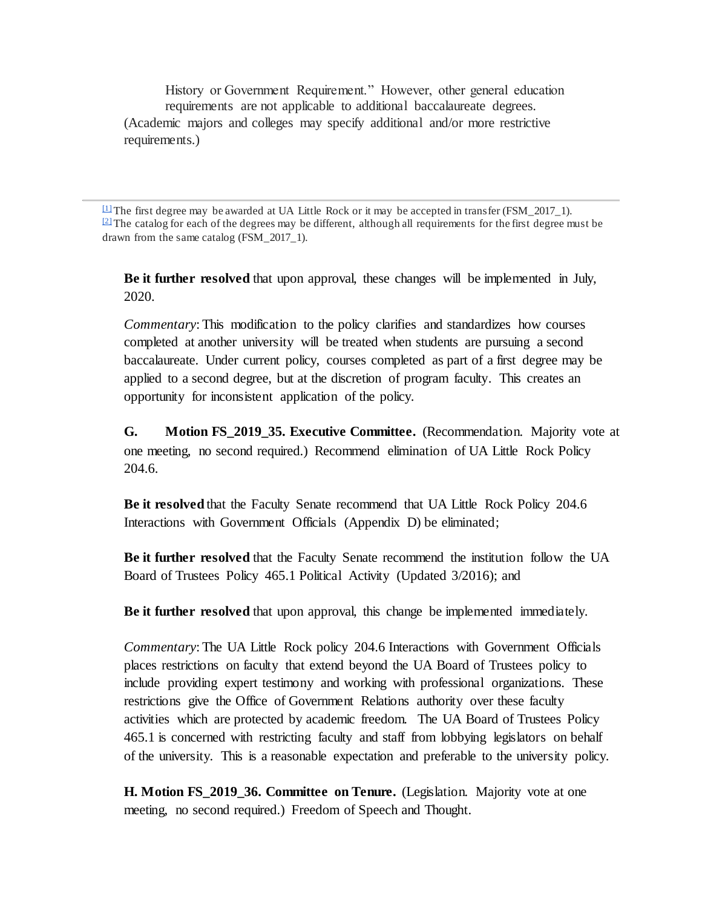History or Government Requirement." However, other general education requirements are not applicable to additional baccalaureate degrees. (Academic majors and colleges may specify additional and/or more restrictive requirements.)

<sup>[\[1\]](https://mail.google.com/mail/u/0/#m_8315980638741788133__ftnref1)</sup> The first degree may be awarded at UA Little Rock or it may be accepted in transfer (FSM 2017 1).  $\sqrt{2}$  The catalog for each of the degrees may be different, although all requirements for the first degree must be drawn from the same catalog (FSM\_2017\_1).

**Be it further resolved** that upon approval, these changes will be implemented in July, 2020.

*Commentary*: This modification to the policy clarifies and standardizes how courses completed at another university will be treated when students are pursuing a second baccalaureate. Under current policy, courses completed as part of a first degree may be applied to a second degree, but at the discretion of program faculty. This creates an opportunity for inconsistent application of the policy.

**G. Motion FS\_2019\_35. Executive Committee.** (Recommendation. Majority vote at one meeting, no second required.) Recommend elimination of UA Little Rock Policy 204.6.

**Be it resolved** that the Faculty Senate recommend that UA Little Rock Policy 204.6 Interactions with Government Officials (Appendix D) be eliminated;

**Be it further resolved** that the Faculty Senate recommend the institution follow the UA Board of Trustees Policy 465.1 Political Activity (Updated 3/2016); and

**Be it further resolved** that upon approval, this change be implemented immediately.

*Commentary*: The UA Little Rock policy 204.6 Interactions with Government Officials places restrictions on faculty that extend beyond the UA Board of Trustees policy to include providing expert testimony and working with professional organizations. These restrictions give the Office of Government Relations authority over these faculty activities which are protected by academic freedom. The UA Board of Trustees Policy 465.1 is concerned with restricting faculty and staff from lobbying legislators on behalf of the university. This is a reasonable expectation and preferable to the university policy.

**H. Motion FS\_2019\_36. Committee on Tenure.** (Legislation. Majority vote at one meeting, no second required.) Freedom of Speech and Thought.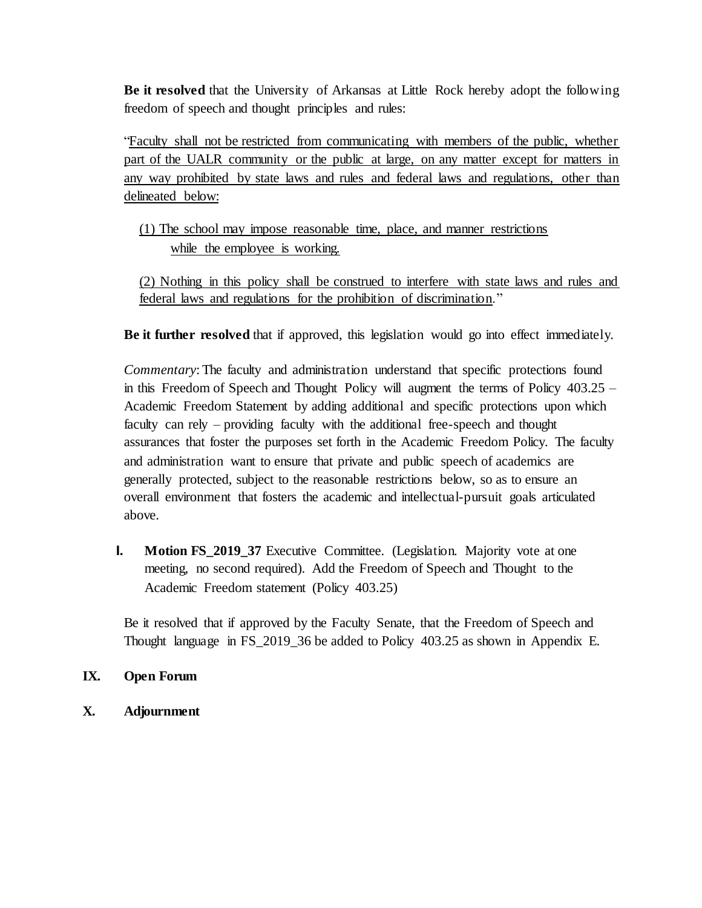**Be it resolved** that the University of Arkansas at Little Rock hereby adopt the following freedom of speech and thought principles and rules:

"Faculty shall not be restricted from communicating with members of the public, whether part of the UALR community or the public at large, on any matter except for matters in any way prohibited by state laws and rules and federal laws and regulations, other than delineated below:

(1) The school may impose reasonable time, place, and manner restrictions while the employee is working.

(2) Nothing in this policy shall be construed to interfere with state laws and rules and federal laws and regulations for the prohibition of discrimination."

**Be it further resolved** that if approved, this legislation would go into effect immediately.

*Commentary*: The faculty and administration understand that specific protections found in this Freedom of Speech and Thought Policy will augment the terms of Policy 403.25 – Academic Freedom Statement by adding additional and specific protections upon which faculty can rely – providing faculty with the additional free-speech and thought assurances that foster the purposes set forth in the Academic Freedom Policy. The faculty and administration want to ensure that private and public speech of academics are generally protected, subject to the reasonable restrictions below, so as to ensure an overall environment that fosters the academic and intellectual-pursuit goals articulated above.

**I. Motion FS\_2019\_37** Executive Committee. (Legislation. Majority vote at one meeting, no second required). Add the Freedom of Speech and Thought to the Academic Freedom statement (Policy 403.25)

Be it resolved that if approved by the Faculty Senate, that the Freedom of Speech and Thought language in FS\_2019\_36 be added to Policy 403.25 as shown in Appendix E.

## **IX. Open Forum**

**X. Adjournment**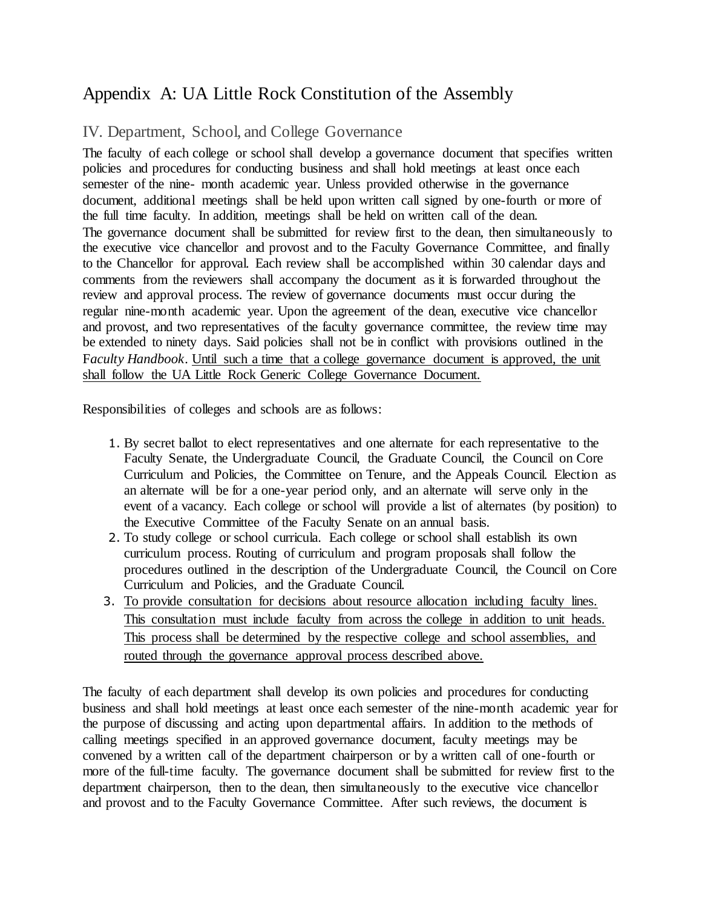## Appendix A: UA Little Rock Constitution of the Assembly

## IV. Department, School, and College Governance

The faculty of each college or school shall develop a governance document that specifies written policies and procedures for conducting business and shall hold meetings at least once each semester of the nine- month academic year. Unless provided otherwise in the governance document, additional meetings shall be held upon written call signed by one-fourth or more of the full time faculty. In addition, meetings shall be held on written call of the dean. The governance document shall be submitted for review first to the dean, then simultaneously to the executive vice chancellor and provost and to the Faculty Governance Committee, and finally to the Chancellor for approval. Each review shall be accomplished within 30 calendar days and comments from the reviewers shall accompany the document as it is forwarded throughout the review and approval process. The review of governance documents must occur during the regular nine-month academic year. Upon the agreement of the dean, executive vice chancellor and provost, and two representatives of the faculty governance committee, the review time may be extended to ninety days. Said policies shall not be in conflict with provisions outlined in the Faculty Handbook. Until such a time that a college governance document is approved, the unit shall follow the UA Little Rock Generic College Governance Document.

Responsibilities of colleges and schools are as follows:

- 1. By secret ballot to elect representatives and one alternate for each representative to the Faculty Senate, the Undergraduate Council, the Graduate Council, the Council on Core Curriculum and Policies, the Committee on Tenure, and the Appeals Council. Election as an alternate will be for a one-year period only, and an alternate will serve only in the event of a vacancy. Each college or school will provide a list of alternates (by position) to the Executive Committee of the Faculty Senate on an annual basis.
- 2. To study college or school curricula. Each college or school shall establish its own curriculum process. Routing of curriculum and program proposals shall follow the procedures outlined in the description of the Undergraduate Council, the Council on Core Curriculum and Policies, and the Graduate Council.
- 3. To provide consultation for decisions about resource allocation including faculty lines. This consultation must include faculty from across the college in addition to unit heads. This process shall be determined by the respective college and school assemblies, and routed through the governance approval process described above.

The faculty of each department shall develop its own policies and procedures for conducting business and shall hold meetings at least once each semester of the nine-month academic year for the purpose of discussing and acting upon departmental affairs. In addition to the methods of calling meetings specified in an approved governance document, faculty meetings may be convened by a written call of the department chairperson or by a written call of one-fourth or more of the full-time faculty. The governance document shall be submitted for review first to the department chairperson, then to the dean, then simultaneously to the executive vice chancellor and provost and to the Faculty Governance Committee. After such reviews, the document is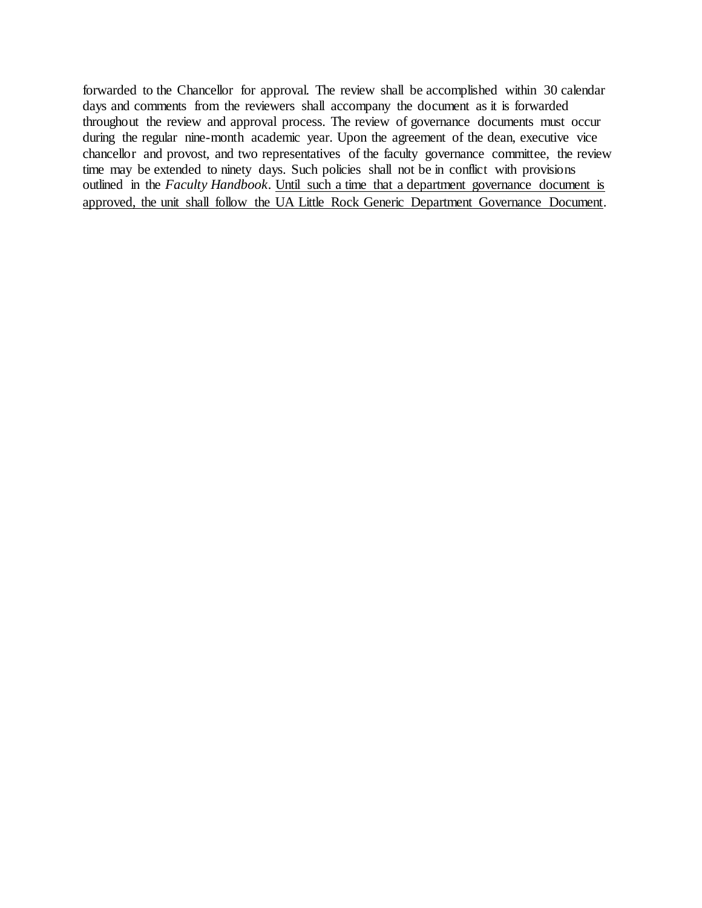forwarded to the Chancellor for approval. The review shall be accomplished within 30 calendar days and comments from the reviewers shall accompany the document as it is forwarded throughout the review and approval process. The review of governance documents must occur during the regular nine-month academic year. Upon the agreement of the dean, executive vice chancellor and provost, and two representatives of the faculty governance committee, the review time may be extended to ninety days. Such policies shall not be in conflict with provisions outlined in the *Faculty Handbook.* Until such a time that a department governance document is approved, the unit shall follow the UA Little Rock Generic Department Governance Document.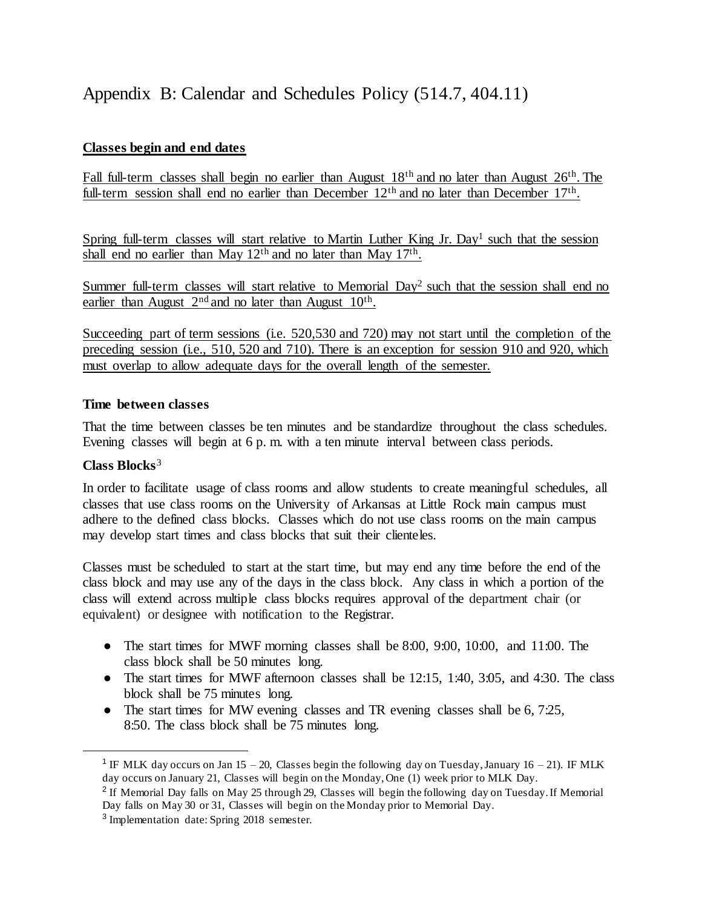# Appendix B: Calendar and Schedules Policy (514.7, 404.11)

## **Classes begin and end dates**

Fall full-term classes shall begin no earlier than August 18th and no later than August 26th. The full-term session shall end no earlier than December 12<sup>th</sup> and no later than December 17<sup>th</sup>.

Spring full-term classes will start relative to Martin Luther King Jr. Day<sup>1</sup> such that the session shall end no earlier than May  $12<sup>th</sup>$  and no later than May  $17<sup>th</sup>$ .

Summer full-term classes will start relative to Memorial Day<sup>2</sup> such that the session shall end no earlier than August  $2<sup>nd</sup>$  and no later than August  $10<sup>th</sup>$ .

Succeeding part of term sessions (i.e. 520,530 and 720) may not start until the completion of the preceding session (i.e., 510, 520 and 710). There is an exception for session 910 and 920, which must overlap to allow adequate days for the overall length of the semester.

#### **Time between classes**

That the time between classes be ten minutes and be standardize throughout the class schedules. Evening classes will begin at 6 p. m. with a ten minute interval between class periods.

#### **Class Blocks**<sup>3</sup>

 $\overline{a}$ 

In order to facilitate usage of class rooms and allow students to create meaningful schedules, all classes that use class rooms on the University of Arkansas at Little Rock main campus must adhere to the defined class blocks. Classes which do not use class rooms on the main campus may develop start times and class blocks that suit their clienteles.

Classes must be scheduled to start at the start time, but may end any time before the end of the class block and may use any of the days in the class block. Any class in which a portion of the class will extend across multiple class blocks requires approval of the department chair (or equivalent) or designee with notification to the Registrar.

- The start times for MWF morning classes shall be 8:00, 9:00, 10:00, and 11:00. The class block shall be 50 minutes long.
- The start times for MWF afternoon classes shall be  $12:15$ ,  $1:40$ ,  $3:05$ , and  $4:30$ . The class block shall be 75 minutes long.
- The start times for MW evening classes and TR evening classes shall be 6, 7:25, 8:50. The class block shall be 75 minutes long.

<sup>&</sup>lt;sup>1</sup> IF MLK day occurs on Jan 15 – 20, Classes begin the following day on Tuesday, January 16 – 21). IF MLK day occurs on January 21, Classes will begin on the Monday, One (1) week prior to MLK Day.

<sup>&</sup>lt;sup>2</sup> If Memorial Day falls on May 25 through 29, Classes will begin the following day on Tuesday. If Memorial Day falls on May 30 or 31, Classes will begin on the Monday prior to Memorial Day.

<sup>&</sup>lt;sup>3</sup> Implementation date: Spring 2018 semester.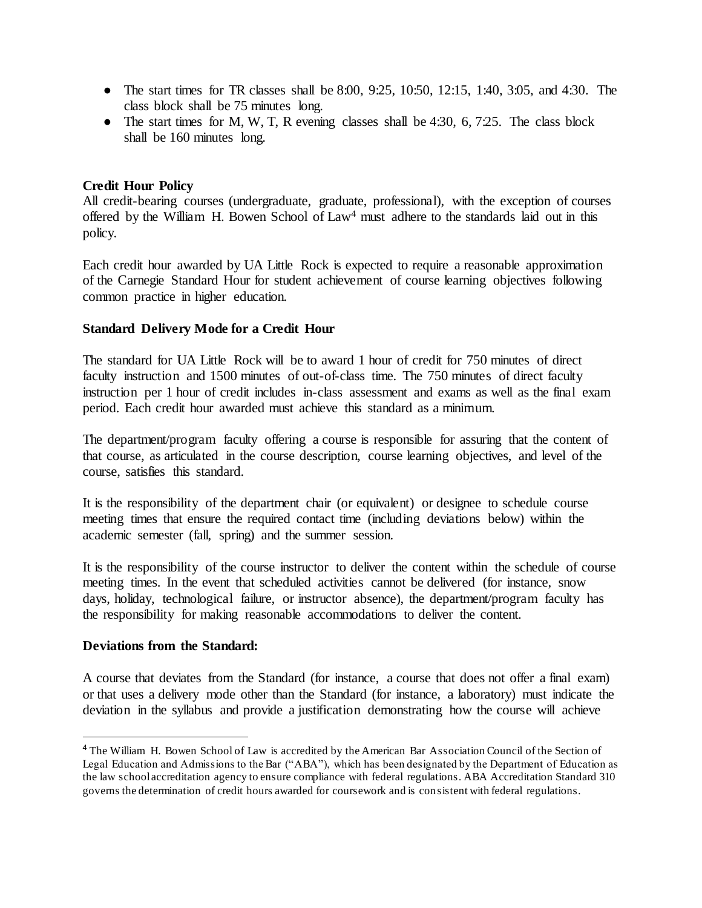- The start times for TR classes shall be 8:00,  $9:25$ ,  $10:50$ ,  $12:15$ ,  $1:40$ ,  $3:05$ , and  $4:30$ . The class block shall be 75 minutes long.
- The start times for M, W, T, R evening classes shall be  $4:30, 6, 7:25$ . The class block shall be 160 minutes long.

## **Credit Hour Policy**

All credit-bearing courses (undergraduate, graduate, professional), with the exception of courses offered by the William H. Bowen School of Law<sup>4</sup> must adhere to the standards laid out in this policy.

Each credit hour awarded by UA Little Rock is expected to require a reasonable approximation of the Carnegie Standard Hour for student achievement of course learning objectives following common practice in higher education.

#### **Standard Delivery Mode for a Credit Hour**

The standard for UA Little Rock will be to award 1 hour of credit for 750 minutes of direct faculty instruction and 1500 minutes of out-of-class time. The 750 minutes of direct faculty instruction per 1 hour of credit includes in-class assessment and exams as well as the final exam period. Each credit hour awarded must achieve this standard as a minimum.

The department/program faculty offering a course is responsible for assuring that the content of that course, as articulated in the course description, course learning objectives, and level of the course, satisfies this standard.

It is the responsibility of the department chair (or equivalent) or designee to schedule course meeting times that ensure the required contact time (including deviations below) within the academic semester (fall, spring) and the summer session.

It is the responsibility of the course instructor to deliver the content within the schedule of course meeting times. In the event that scheduled activities cannot be delivered (for instance, snow days, holiday, technological failure, or instructor absence), the department/program faculty has the responsibility for making reasonable accommodations to deliver the content.

#### **Deviations from the Standard:**

 $\overline{a}$ 

A course that deviates from the Standard (for instance, a course that does not offer a final exam) or that uses a delivery mode other than the Standard (for instance, a laboratory) must indicate the deviation in the syllabus and provide a justification demonstrating how the course will achieve

<sup>4</sup> The William H. Bowen School of Law is accredited by the American Bar Association Council of the Section of Legal Education and Admissions to the Bar ("ABA"), which has been designated by the Department of Education as the law school accreditation agency to ensure compliance with federal regulations. ABA Accreditation Standard 310 governs the determination of credit hours awarded for coursework and is consistent with federal regulations.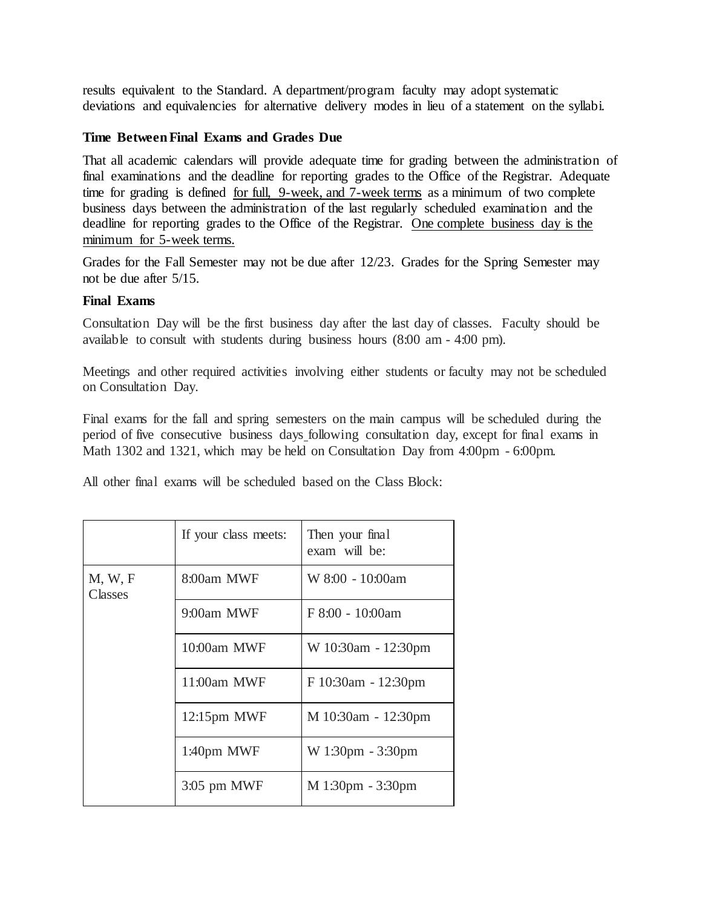results equivalent to the Standard. A department/program faculty may adopt systematic deviations and equivalencies for alternative delivery modes in lieu of a statement on the syllabi.

#### **Time Between Final Exams and Grades Due**

That all academic calendars will provide adequate time for grading between the administration of final examinations and the deadline for reporting grades to the Office of the Registrar. Adequate time for grading is defined for full, 9-week, and 7-week terms as a minimum of two complete business days between the administration of the last regularly scheduled examination and the deadline for reporting grades to the Office of the Registrar. One complete business day is the minimum for 5-week terms.

Grades for the Fall Semester may not be due after 12/23. Grades for the Spring Semester may not be due after 5/15.

#### **Final Exams**

Consultation Day will be the first business day after the last day of classes. Faculty should be available to consult with students during business hours (8:00 am - 4:00 pm).

Meetings and other required activities involving either students or faculty may not be scheduled on Consultation Day.

Final exams for the fall and spring semesters on the main campus will be scheduled during the period of five consecutive business days following consultation day, except for final exams in Math 1302 and 1321, which may be held on Consultation Day from 4:00pm - 6:00pm.

All other final exams will be scheduled based on the Class Block:

|                    | If your class meets: | Then your final<br>exam will be: |
|--------------------|----------------------|----------------------------------|
| M, W, F<br>Classes | 8:00am MWF           | W 8:00 - 10:00am                 |
|                    | 9:00am MWF           | F 8:00 - 10:00am                 |
|                    | 10:00am MWF          | W 10:30am - 12:30pm              |
|                    | 11:00am MWF          | F 10:30am - 12:30pm              |
|                    | $12:15$ pm MWF       | M 10:30am - 12:30pm              |
|                    | 1:40pm MWF           | W 1:30pm - 3:30pm                |
|                    | $3:05$ pm MWF        | M 1:30pm - 3:30pm                |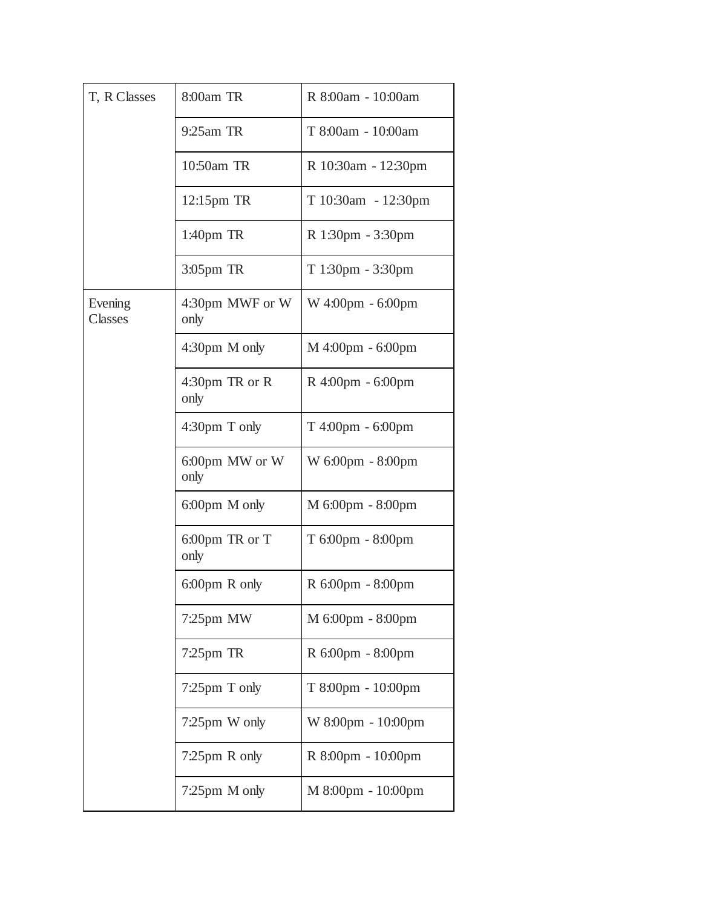| T, R Classes       | 8:00am TR               | R 8:00am - 10:00am  |
|--------------------|-------------------------|---------------------|
|                    | 9:25am TR               | T 8:00am - 10:00am  |
|                    | 10:50am TR              | R 10:30am - 12:30pm |
|                    | 12:15pm TR              | T 10:30am - 12:30pm |
|                    | 1:40 <sub>pm</sub> TR   | R 1:30pm - 3:30pm   |
|                    | $3:05$ pm TR            | T 1:30pm - 3:30pm   |
| Evening<br>Classes | 4:30pm MWF or W<br>only | W 4:00pm - 6:00pm   |
|                    | 4:30pm M only           | $M$ 4:00pm - 6:00pm |
|                    | 4:30pm TR or R<br>only  | R 4:00pm - 6:00pm   |
|                    | 4:30pm T only           | T 4:00pm - 6:00pm   |
|                    | 6:00pm MW or W<br>only  | W 6:00pm - 8:00pm   |
|                    | 6:00pm M only           | M 6:00pm - 8:00pm   |
|                    | 6:00pm TR or T<br>only  | T 6:00pm - 8:00pm   |
|                    | $6:00 \text{pm}$ R only | R 6:00pm - 8:00pm   |
|                    | 7:25pm MW               | M 6:00pm - 8:00pm   |
|                    | $7:25$ pm TR            | R 6:00pm - 8:00pm   |
|                    | 7:25pm T only           | T 8:00pm - 10:00pm  |
|                    | 7:25pm W only           | W 8:00pm - 10:00pm  |
|                    | 7:25pm R only           | R 8:00pm - 10:00pm  |
|                    | 7:25pm M only           | M 8:00pm - 10:00pm  |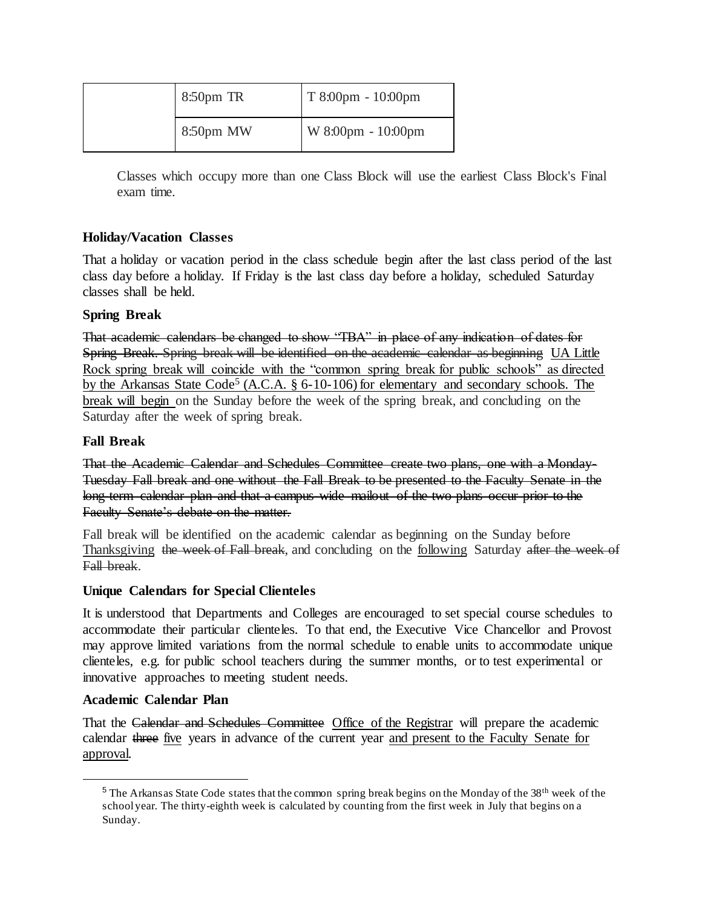| $8:50pm$ TR  | $T8:00 \text{pm} - 10:00 \text{pm}$ |
|--------------|-------------------------------------|
| $8:50$ pm MW | W 8:00pm - 10:00pm                  |

Classes which occupy more than one Class Block will use the earliest Class Block's Final exam time.

## **Holiday/Vacation Classes**

That a holiday or vacation period in the class schedule begin after the last class period of the last class day before a holiday. If Friday is the last class day before a holiday, scheduled Saturday classes shall be held.

## **Spring Break**

That academic calendars be changed to show "TBA" in place of any indication of dates for Spring Break. Spring break will be identified on the academic calendar as beginning UA Little Rock spring break will coincide with the "common spring break for public schools" as directed by the Arkansas State Code<sup>5</sup> (A.C.A. § 6-10-106) for elementary and secondary schools. The break will begin on the Sunday before the week of the spring break, and concluding on the Saturday after the week of spring break.

## **Fall Break**

That the Academic Calendar and Schedules Committee create two plans, one with a Monday-Tuesday Fall break and one without the Fall Break to be presented to the Faculty Senate in the long-term calendar plan and that a campus-wide mailout of the two plans occur prior to the Faculty Senate's debate on the matter.

Fall break will be identified on the academic calendar as beginning on the Sunday before Thanksgiving the week of Fall break, and concluding on the following Saturday after the week of Fall break.

#### **Unique Calendars for Special Clienteles**

It is understood that Departments and Colleges are encouraged to set special course schedules to accommodate their particular clienteles. To that end, the Executive Vice Chancellor and Provost may approve limited variations from the normal schedule to enable units to accommodate unique clienteles, e.g. for public school teachers during the summer months, or to test experimental or innovative approaches to meeting student needs.

#### **Academic Calendar Plan**

 $\overline{a}$ 

That the Calendar and Schedules Committee Office of the Registrar will prepare the academic calendar three five years in advance of the current year and present to the Faculty Senate for approval.

<sup>&</sup>lt;sup>5</sup> The Arkansas State Code states that the common spring break begins on the Monday of the  $38<sup>th</sup>$  week of the school year. The thirty-eighth week is calculated by counting from the first week in July that begins on a Sunday.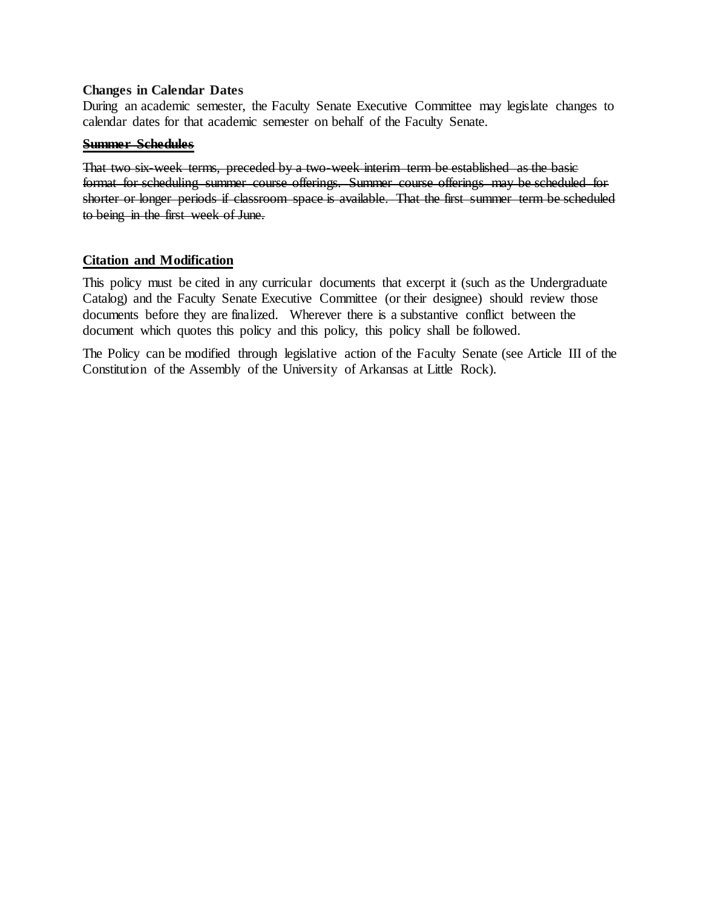#### **Changes in Calendar Dates**

During an academic semester, the Faculty Senate Executive Committee may legislate changes to calendar dates for that academic semester on behalf of the Faculty Senate.

#### **Summer Schedules**

That two six-week terms, preceded by a two-week interim term be established as the basic format for scheduling summer course offerings. Summer course offerings may be scheduled for shorter or longer periods if classroom space is available. That the first summer term be scheduled to being in the first week of June.

#### **Citation and Modification**

This policy must be cited in any curricular documents that excerpt it (such as the Undergraduate Catalog) and the Faculty Senate Executive Committee (or their designee) should review those documents before they are finalized. Wherever there is a substantive conflict between the document which quotes this policy and this policy, this policy shall be followed.

The Policy can be modified through legislative action of the Faculty Senate (see Article III of the Constitution of the Assembly of the University of Arkansas at Little Rock).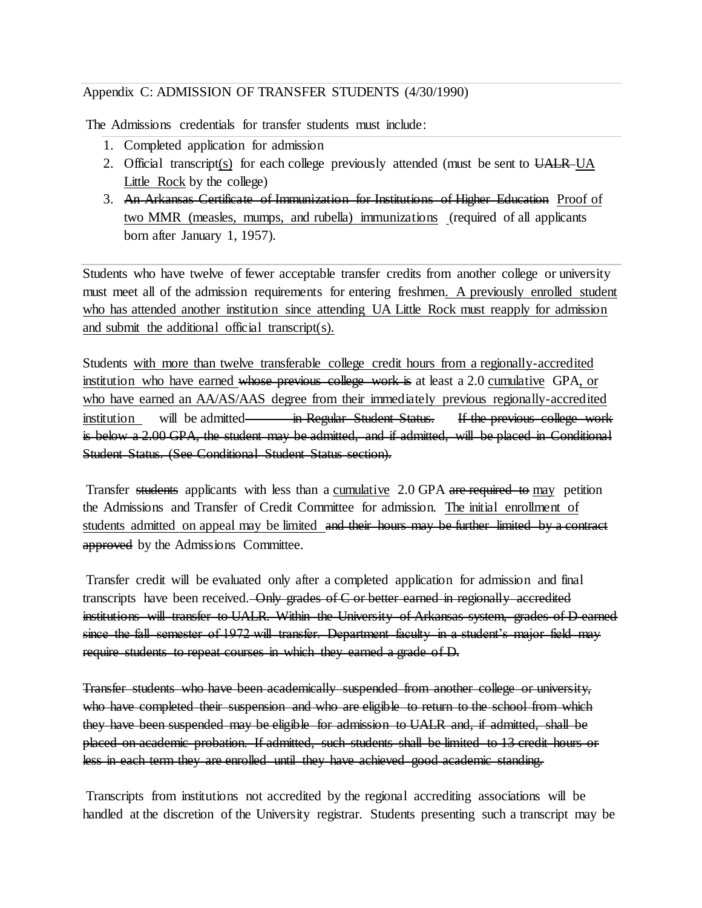## Appendix C: ADMISSION OF TRANSFER STUDENTS (4/30/1990)

The Admissions credentials for transfer students must include:

- 1. Completed application for admission
- 2. Official transcript(s) for each college previously attended (must be sent to UALR UA Little Rock by the college)
- 3. An Arkansas Certificate of Immunization for Institutions of Higher Education Proof of two MMR (measles, mumps, and rubella) immunizations (required of all applicants born after January 1, 1957).

Students who have twelve of fewer acceptable transfer credits from another college or university must meet all of the admission requirements for entering freshmen. A previously enrolled student who has attended another institution since attending UA Little Rock must reapply for admission and submit the additional official transcript(s).

Students with more than twelve transferable college credit hours from a regionally-accredited institution who have earned whose previous college work is at least a 2.0 cumulative GPA, or who have earned an AA/AS/AAS degree from their immediately previous regionally-accredited institution will be admitted in Regular Student Status. If the previous college work is below a 2.00 GPA, the student may be admitted, and if admitted, will be placed in Conditional Student Status. (See Conditional Student Status section).

Transfer students applicants with less than a cumulative 2.0 GPA are required to may petition the Admissions and Transfer of Credit Committee for admission. The initial enrollment of students admitted on appeal may be limited and their hours may be further limited by a contract approved by the Admissions Committee.

Transfer credit will be evaluated only after a completed application for admission and final transcripts have been received. Only grades of C or better earned in regionally accredited institutions will transfer to UALR. Within the University of Arkansas system, grades of D earned since the fall semester of 1972 will transfer. Department faculty in a student's major field may require students to repeat courses in which they earned a grade of D.

Transfer students who have been academically suspended from another college or university, who have completed their suspension and who are eligible to return to the school from which they have been suspended may be eligible for admission to UALR and, if admitted, shall be placed on academic probation. If admitted, such students shall be limited to 13 credit hours or less in each term they are enrolled until they have achieved good academic standing.

Transcripts from institutions not accredited by the regional accrediting associations will be handled at the discretion of the University registrar. Students presenting such a transcript may be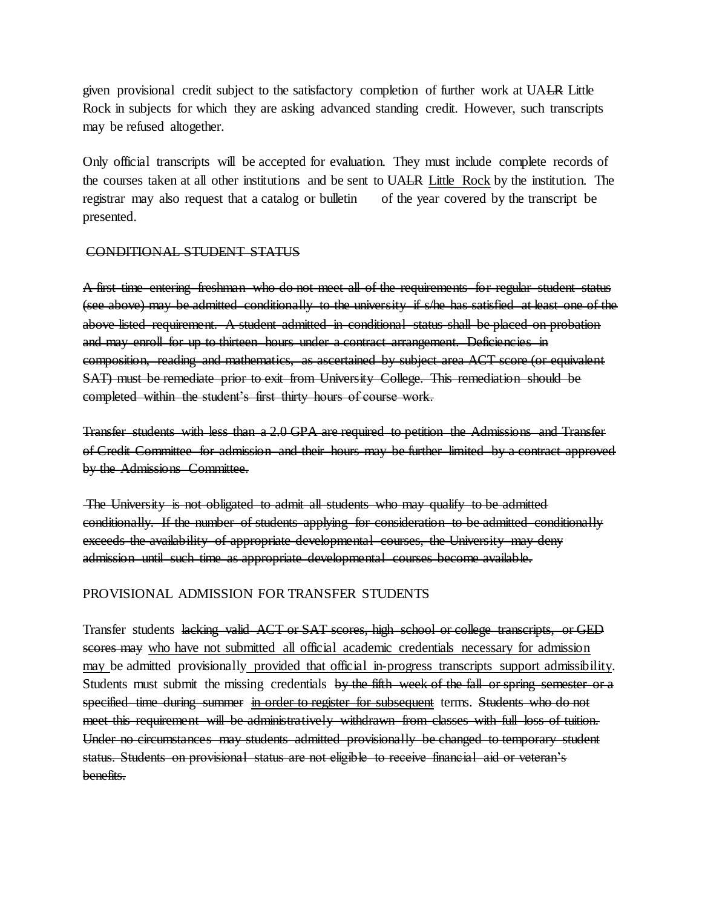given provisional credit subject to the satisfactory completion of further work at UALR Little Rock in subjects for which they are asking advanced standing credit. However, such transcripts may be refused altogether.

Only official transcripts will be accepted for evaluation. They must include complete records of the courses taken at all other institutions and be sent to UALR Little Rock by the institution. The registrar may also request that a catalog or bulletin of the year covered by the transcript be presented.

#### CONDITIONAL STUDENT STATUS

A first time entering freshman who do not meet all of the requirements for regular student status (see above) may be admitted conditionally to the university if s/he has satisfied at least one of the above listed requirement. A student admitted in conditional status shall be placed on probation and may enroll for up to thirteen hours under a contract arrangement. Deficiencies in composition, reading and mathematics, as ascertained by subject area ACT score (or equivalent SAT) must be remediate prior to exit from University College. This remediation should be completed within the student's first thirty hours of course work.

Transfer students with less than a 2.0 GPA are required to petition the Admissions and Transfer of Credit Committee for admission and their hours may be further limited by a contract approved by the Admissions Committee.

The University is not obligated to admit all students who may qualify to be admitted conditionally. If the number of students applying for consideration to be admitted conditionally exceeds the availability of appropriate developmental courses, the University may deny admission until such time as appropriate developmental courses become available.

#### PROVISIONAL ADMISSION FOR TRANSFER STUDENTS

Transfer students lacking valid ACT or SAT scores, high school or college transcripts, or GED scores may who have not submitted all official academic credentials necessary for admission may be admitted provisionally provided that official in-progress transcripts support admissibility. Students must submit the missing credentials by the fifth week of the fall or spring semester or a specified time during summer in order to register for subsequent terms. Students who do not meet this requirement will be administratively withdrawn from classes with full loss of tuition. Under no circumstances may students admitted provisionally be changed to temporary student status. Students on provisional status are not eligible to receive financial aid or veteran's benefits.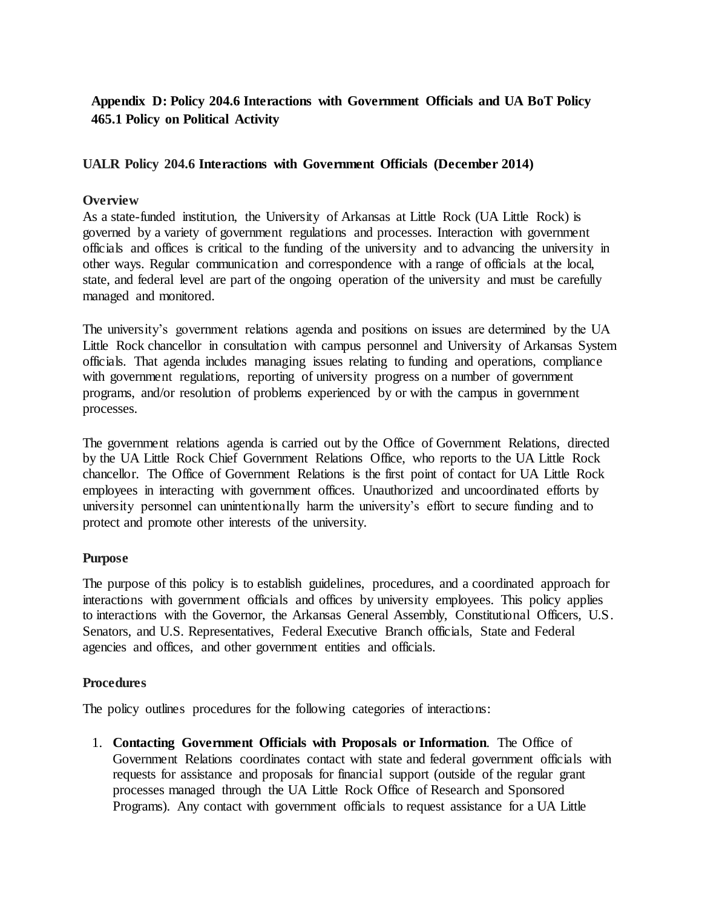## **Appendix D: Policy 204.6 Interactions with Government Officials and UA BoT Policy 465.1 Policy on Political Activity**

## **UALR Policy 204.6 Interactions with Government Officials (December 2014)**

### **Overview**

As a state-funded institution, the University of Arkansas at Little Rock (UA Little Rock) is governed by a variety of government regulations and processes. Interaction with government officials and offices is critical to the funding of the university and to advancing the university in other ways. Regular communication and correspondence with a range of officials at the local, state, and federal level are part of the ongoing operation of the university and must be carefully managed and monitored.

The university's government relations agenda and positions on issues are determined by the UA Little Rock chancellor in consultation with campus personnel and University of Arkansas System officials. That agenda includes managing issues relating to funding and operations, compliance with government regulations, reporting of university progress on a number of government programs, and/or resolution of problems experienced by or with the campus in government processes.

The government relations agenda is carried out by the Office of Government Relations, directed by the UA Little Rock Chief Government Relations Office, who reports to the UA Little Rock chancellor. The Office of Government Relations is the first point of contact for UA Little Rock employees in interacting with government offices. Unauthorized and uncoordinated efforts by university personnel can unintentionally harm the university's effort to secure funding and to protect and promote other interests of the university.

#### **Purpose**

The purpose of this policy is to establish guidelines, procedures, and a coordinated approach for interactions with government officials and offices by university employees. This policy applies to interactions with the Governor, the Arkansas General Assembly, Constitutional Officers, U.S. Senators, and U.S. Representatives, Federal Executive Branch officials, State and Federal agencies and offices, and other government entities and officials.

#### **Procedures**

The policy outlines procedures for the following categories of interactions:

1. **Contacting Government Officials with Proposals or Information**. The Office of Government Relations coordinates contact with state and federal government officials with requests for assistance and proposals for financial support (outside of the regular grant processes managed through the UA Little Rock Office of Research and Sponsored Programs). Any contact with government officials to request assistance for a UA Little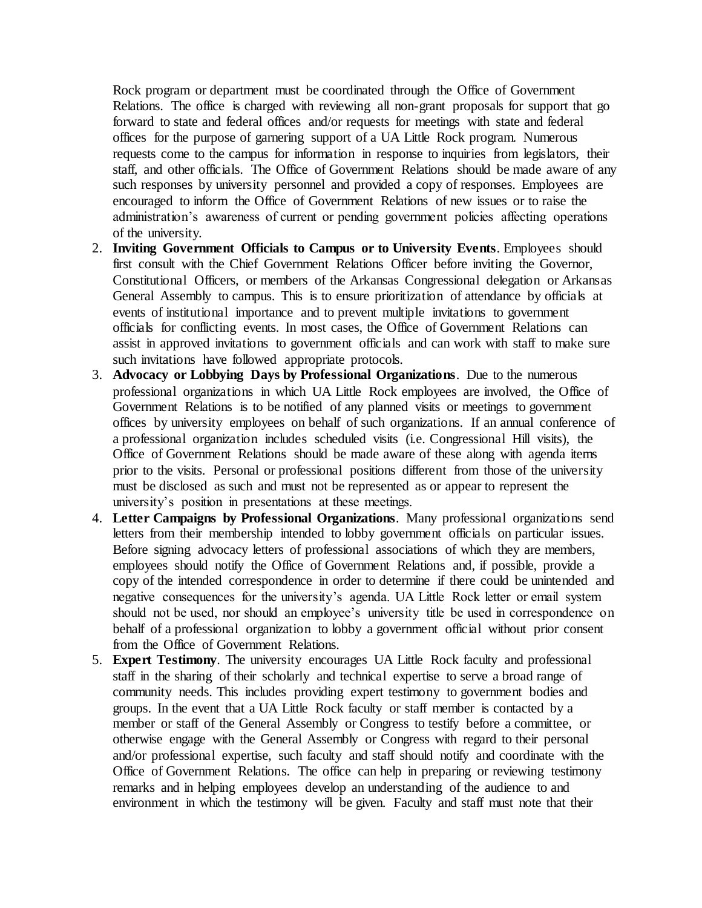Rock program or department must be coordinated through the Office of Government Relations. The office is charged with reviewing all non-grant proposals for support that go forward to state and federal offices and/or requests for meetings with state and federal offices for the purpose of garnering support of a UA Little Rock program. Numerous requests come to the campus for information in response to inquiries from legislators, their staff, and other officials. The Office of Government Relations should be made aware of any such responses by university personnel and provided a copy of responses. Employees are encouraged to inform the Office of Government Relations of new issues or to raise the administration's awareness of current or pending government policies affecting operations of the university.

- 2. **Inviting Government Officials to Campus or to University Events**. Employees should first consult with the Chief Government Relations Officer before inviting the Governor, Constitutional Officers, or members of the Arkansas Congressional delegation or Arkansas General Assembly to campus. This is to ensure prioritization of attendance by officials at events of institutional importance and to prevent multiple invitations to government officials for conflicting events. In most cases, the Office of Government Relations can assist in approved invitations to government officials and can work with staff to make sure such invitations have followed appropriate protocols.
- 3. **Advocacy or Lobbying Days by Professional Organizations**. Due to the numerous professional organizations in which UA Little Rock employees are involved, the Office of Government Relations is to be notified of any planned visits or meetings to government offices by university employees on behalf of such organizations. If an annual conference of a professional organization includes scheduled visits (i.e. Congressional Hill visits), the Office of Government Relations should be made aware of these along with agenda items prior to the visits. Personal or professional positions different from those of the university must be disclosed as such and must not be represented as or appear to represent the university's position in presentations at these meetings.
- 4. **Letter Campaigns by Professional Organizations**. Many professional organizations send letters from their membership intended to lobby government officials on particular issues. Before signing advocacy letters of professional associations of which they are members, employees should notify the Office of Government Relations and, if possible, provide a copy of the intended correspondence in order to determine if there could be unintended and negative consequences for the university's agenda. UA Little Rock letter or email system should not be used, nor should an employee's university title be used in correspondence on behalf of a professional organization to lobby a government official without prior consent from the Office of Government Relations.
- 5. **Expert Testimony**. The university encourages UA Little Rock faculty and professional staff in the sharing of their scholarly and technical expertise to serve a broad range of community needs. This includes providing expert testimony to government bodies and groups. In the event that a UA Little Rock faculty or staff member is contacted by a member or staff of the General Assembly or Congress to testify before a committee, or otherwise engage with the General Assembly or Congress with regard to their personal and/or professional expertise, such faculty and staff should notify and coordinate with the Office of Government Relations. The office can help in preparing or reviewing testimony remarks and in helping employees develop an understanding of the audience to and environment in which the testimony will be given. Faculty and staff must note that their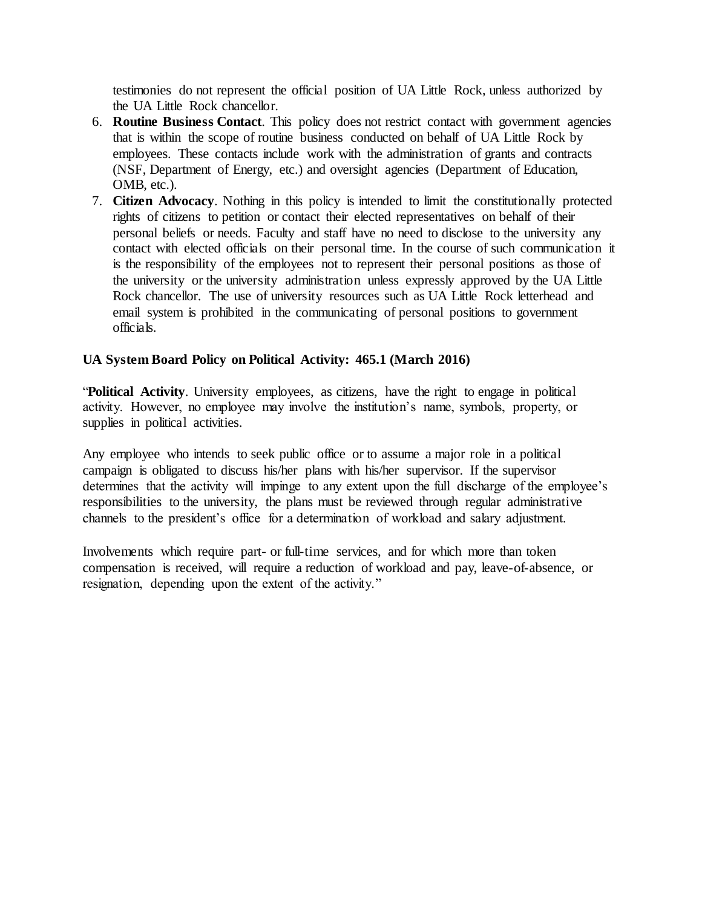testimonies do not represent the official position of UA Little Rock, unless authorized by the UA Little Rock chancellor.

- 6. **Routine Business Contact**. This policy does not restrict contact with government agencies that is within the scope of routine business conducted on behalf of UA Little Rock by employees. These contacts include work with the administration of grants and contracts (NSF, Department of Energy, etc.) and oversight agencies (Department of Education, OMB, etc.).
- 7. **Citizen Advocacy**. Nothing in this policy is intended to limit the constitutionally protected rights of citizens to petition or contact their elected representatives on behalf of their personal beliefs or needs. Faculty and staff have no need to disclose to the university any contact with elected officials on their personal time. In the course of such communication it is the responsibility of the employees not to represent their personal positions as those of the university or the university administration unless expressly approved by the UA Little Rock chancellor. The use of university resources such as UA Little Rock letterhead and email system is prohibited in the communicating of personal positions to government officials.

## **UA System Board Policy on Political Activity: 465.1 (March 2016)**

"**Political Activity**. University employees, as citizens, have the right to engage in political activity. However, no employee may involve the institution's name, symbols, property, or supplies in political activities.

Any employee who intends to seek public office or to assume a major role in a political campaign is obligated to discuss his/her plans with his/her supervisor. If the supervisor determines that the activity will impinge to any extent upon the full discharge of the employee's responsibilities to the university, the plans must be reviewed through regular administrative channels to the president's office for a determination of workload and salary adjustment.

Involvements which require part- or full-time services, and for which more than token compensation is received, will require a reduction of workload and pay, leave-of-absence, or resignation, depending upon the extent of the activity."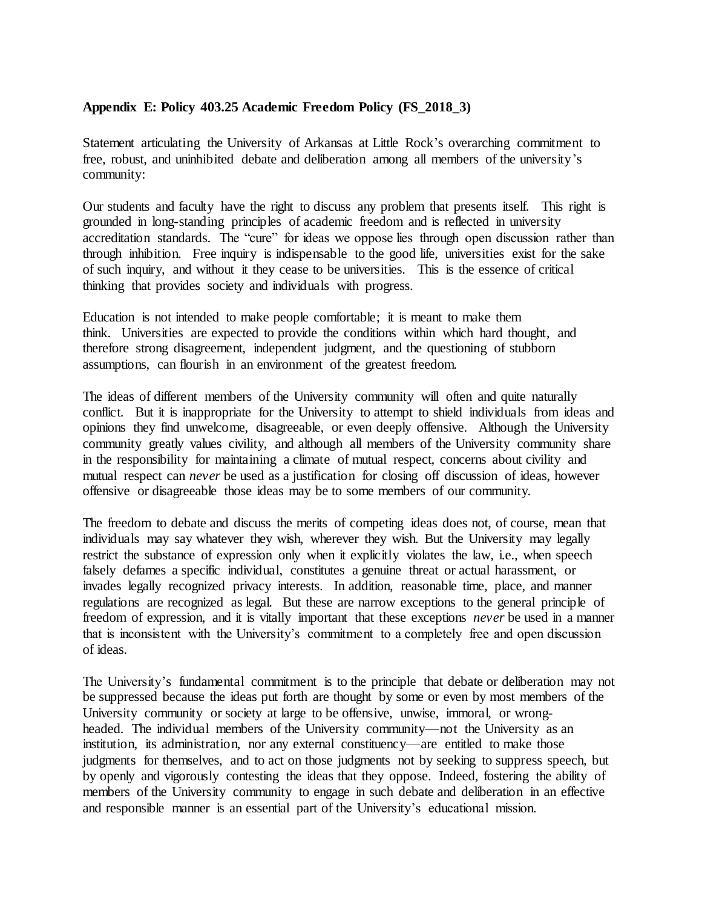### **Appendix E: Policy 403.25 Academic Freedom Policy (FS\_2018\_3)**

Statement articulating the University of Arkansas at Little Rock's overarching commitment to free, robust, and uninhibited debate and deliberation among all members of the university's community:

Our students and faculty have the right to discuss any problem that presents itself. This right is grounded in long-standing principles of academic freedom and is reflected in university accreditation standards. The "cure" for ideas we oppose lies through open discussion rather than through inhibition. Free inquiry is indispensable to the good life, universities exist for the sake of such inquiry, and without it they cease to be universities. This is the essence of critical thinking that provides society and individuals with progress.

Education is not intended to make people comfortable; it is meant to make them think. Universities are expected to provide the conditions within which hard thought, and therefore strong disagreement, independent judgment, and the questioning of stubborn assumptions, can flourish in an environment of the greatest freedom.

The ideas of different members of the University community will often and quite naturally conflict. But it is inappropriate for the University to attempt to shield individuals from ideas and opinions they find unwelcome, disagreeable, or even deeply offensive. Although the University community greatly values civility, and although all members of the University community share in the responsibility for maintaining a climate of mutual respect, concerns about civility and mutual respect can *never* be used as a justification for closing off discussion of ideas, however offensive or disagreeable those ideas may be to some members of our community.

The freedom to debate and discuss the merits of competing ideas does not, of course, mean that individuals may say whatever they wish, wherever they wish. But the University may legally restrict the substance of expression only when it explicitly violates the law, i.e., when speech falsely defames a specific individual, constitutes a genuine threat or actual harassment, or invades legally recognized privacy interests. In addition, reasonable time, place, and manner regulations are recognized as legal. But these are narrow exceptions to the general principle of freedom of expression, and it is vitally important that these exceptions *never* be used in a manner that is inconsistent with the University's commitment to a completely free and open discussion of ideas.

The University's fundamental commitment is to the principle that debate or deliberation may not be suppressed because the ideas put forth are thought by some or even by most members of the University community or society at large to be offensive, unwise, immoral, or wrongheaded. The individual members of the University community—not the University as an institution, its administration, nor any external constituency—are entitled to make those judgments for themselves, and to act on those judgments not by seeking to suppress speech, but by openly and vigorously contesting the ideas that they oppose. Indeed, fostering the ability of members of the University community to engage in such debate and deliberation in an effective and responsible manner is an essential part of the University's educational mission.